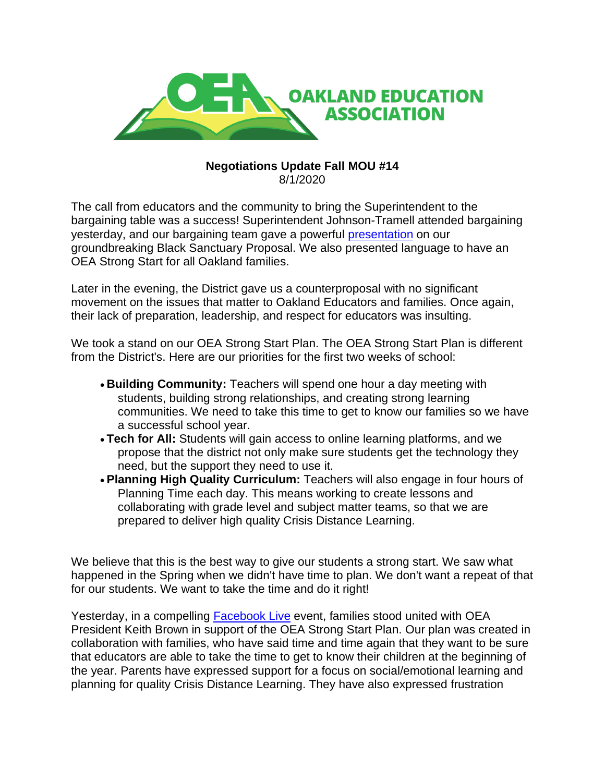

## **Negotiations Update Fall MOU #14** 8/1/2020

The call from educators and the community to bring the Superintendent to the bargaining table was a success! Superintendent Johnson-Tramell attended bargaining yesterday, and our bargaining team gave a powerful [presentation](http://r20.rs6.net/tn.jsp?f=001wU6YF2XdUtdeR0xJZ8A99ydDwDXFUkrJwkPLa1vX4pV3A1FPZbk7KD2JWHMSIjrnCi3vY2h91chxBOUFe83znXS1WC1t5cMU1B1RL_gbJmZKbalRELHpB4_1eGur9UCUtgQR7jCTgW1kFA9L4vCd2Y_-DyKmZTqy3jkArILRpwwLYr3I8vCf5FmBylGRV5G7_zJPbRcSXwE9JdPWvAzHK44FyXO9_1-luu7S7vv-5UdJBM1oRygacCRb4r7je4cJ&c=sAwNzvwuN-Zt_4UkK4ZL8WwtnpviwkMN-ZhbBWGSc11B9nZw94Wo2w==&ch=wL_nDohpHlN7wjioA5gCIMfjs2z1vS2j741r7J8qTyulrsOvLjM8TQ==) on our groundbreaking Black Sanctuary Proposal. We also presented language to have an OEA Strong Start for all Oakland families.

Later in the evening, the District gave us a counterproposal with no significant movement on the issues that matter to Oakland Educators and families. Once again, their lack of preparation, leadership, and respect for educators was insulting.

We took a stand on our OEA Strong Start Plan. The OEA Strong Start Plan is different from the District's. Here are our priorities for the first two weeks of school:

- **Building Community:** Teachers will spend one hour a day meeting with students, building strong relationships, and creating strong learning communities. We need to take this time to get to know our families so we have a successful school year.
- **Tech for All:** Students will gain access to online learning platforms, and we propose that the district not only make sure students get the technology they need, but the support they need to use it.
- **Planning High Quality Curriculum:** Teachers will also engage in four hours of Planning Time each day. This means working to create lessons and collaborating with grade level and subject matter teams, so that we are prepared to deliver high quality Crisis Distance Learning.

We believe that this is the best way to give our students a strong start. We saw what happened in the Spring when we didn't have time to plan. We don't want a repeat of that for our students. We want to take the time and do it right!

Yesterday, in a compelling [Facebook Live](http://r20.rs6.net/tn.jsp?f=001wU6YF2XdUtdeR0xJZ8A99ydDwDXFUkrJwkPLa1vX4pV3A1FPZbk7KNCGaZALJ2pmMIlgehoXgxpDNmZ47PxhaEeJr5cf3RfZiZrncCQUBLxMl5nuHuoapa8Zl2Scpn5rd1qDiH0-zJWIzyQIktQBc9tYjVerd1SaD_swSdHEEb5fhph6vweGMonZk-HUBNvPJBsW1Vyj8qM=&c=sAwNzvwuN-Zt_4UkK4ZL8WwtnpviwkMN-ZhbBWGSc11B9nZw94Wo2w==&ch=wL_nDohpHlN7wjioA5gCIMfjs2z1vS2j741r7J8qTyulrsOvLjM8TQ==) event, families stood united with OEA President Keith Brown in support of the OEA Strong Start Plan. Our plan was created in collaboration with families, who have said time and time again that they want to be sure that educators are able to take the time to get to know their children at the beginning of the year. Parents have expressed support for a focus on social/emotional learning and planning for quality Crisis Distance Learning. They have also expressed frustration